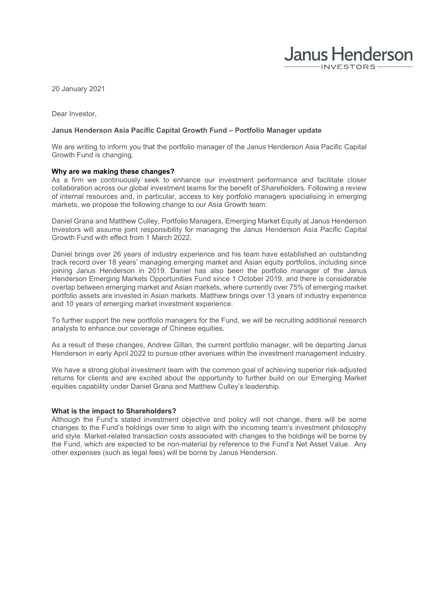

20 January 2021

Dear Investor,

## **Janus Henderson Asia Pacific Capital Growth Fund – Portfolio Manager update**

We are writing to inform you that the portfolio manager of the Janus Henderson Asia Pacific Capital Growth Fund is changing.

## **Why are we making these changes?**

As a firm we continuously seek to enhance our investment performance and facilitate closer collaboration across our global investment teams for the benefit of Shareholders. Following a review of internal resources and, in particular, access to key portfolio managers specialising in emerging markets, we propose the following change to our Asia Growth team:

Daniel Grana and Matthew Culley, Portfolio Managers, Emerging Market Equity at Janus Henderson Investors will assume joint responsibility for managing the Janus Henderson Asia Pacific Capital Growth Fund with effect from 1 March 2022.

Daniel brings over 26 years of industry experience and his team have established an outstanding track record over 18 years' managing emerging market and Asian equity portfolios, including since joining Janus Henderson in 2019. Daniel has also been the portfolio manager of the Janus Henderson Emerging Markets Opportunities Fund since 1 October 2019, and there is considerable overlap between emerging market and Asian markets, where currently over 75% of emerging market portfolio assets are invested in Asian markets. Matthew brings over 13 years of industry experience and 10 years of emerging market investment experience.

To further support the new portfolio managers for the Fund, we will be recruiting additional research analysts to enhance our coverage of Chinese equities.

As a result of these changes, Andrew Gillan, the current portfolio manager, will be departing Janus Henderson in early April 2022 to pursue other avenues within the investment management industry.

We have a strong global investment team with the common goal of achieving superior risk-adjusted returns for clients and are excited about the opportunity to further build on our Emerging Market equities capability under Daniel Grana and Matthew Culley's leadership.

## **What is the impact to Shareholders?**

Although the Fund's stated investment objective and policy will not change, there will be some changes to the Fund's holdings over time to align with the incoming team's investment philosophy and style. Market-related transaction costs associated with changes to the holdings will be borne by the Fund, which are expected to be non-material by reference to the Fund's Net Asset Value. Any other expenses (such as legal fees) will be borne by Janus Henderson.